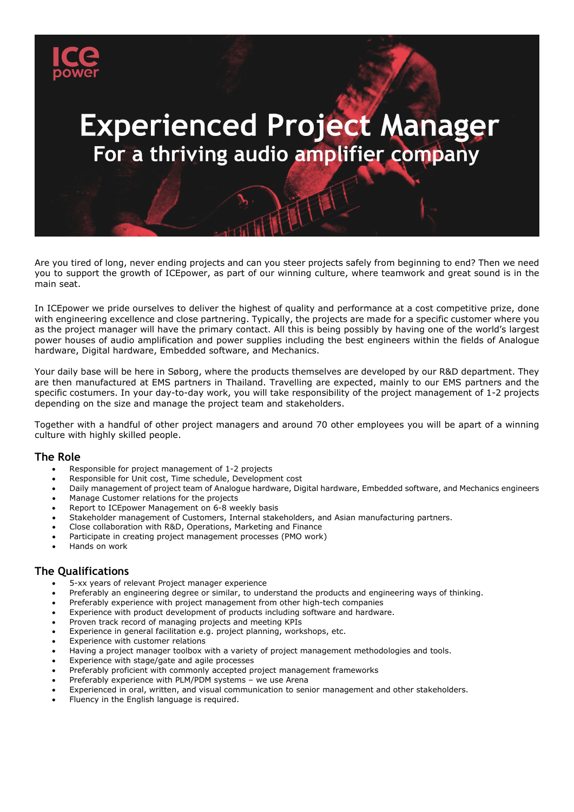

# **Experienced Project Manager** For a thriving audio amplifier company

Are you tired of long, never ending projects and can you steer projects safely from beginning to end? Then we need you to support the growth of ICEpower, as part of our winning culture, where teamwork and great sound is in the main seat.

In ICEpower we pride ourselves to deliver the highest of quality and performance at a cost competitive prize, done with engineering excellence and close partnering. Typically, the projects are made for a specific customer where you as the project manager will have the primary contact. All this is being possibly by having one of the world's largest power houses of audio amplification and power supplies including the best engineers within the fields of Analogue hardware, Digital hardware, Embedded software, and Mechanics.

Your daily base will be here in Søborg, where the products themselves are developed by our R&D department. They are then manufactured at EMS partners in Thailand. Travelling are expected, mainly to our EMS partners and the specific costumers. In your day-to-day work, you will take responsibility of the project management of 1-2 projects depending on the size and manage the project team and stakeholders.

Together with a handful of other project managers and around 70 other employees you will be apart of a winning culture with highly skilled people.

### **The Role**

- Responsible for project management of 1-2 projects
- Responsible for Unit cost, Time schedule, Development cost
- Daily management of project team of Analogue hardware, Digital hardware, Embedded software, and Mechanics engineers
- Manage Customer relations for the projects
- Report to ICEpower Management on 6-8 weekly basis
- Stakeholder management of Customers, Internal stakeholders, and Asian manufacturing partners.
- Close collaboration with R&D, Operations, Marketing and Finance
- Participate in creating project management processes (PMO work)
- Hands on work

### **The Qualifications**

- 5-xx years of relevant Project manager experience
- Preferably an engineering degree or similar, to understand the products and engineering ways of thinking.
- Preferably experience with project management from other high-tech companies
- Experience with product development of products including software and hardware.
- Proven track record of managing projects and meeting KPIs
- Experience in general facilitation e.g. project planning, workshops, etc.
- Experience with customer relations
- Having a project manager toolbox with a variety of project management methodologies and tools.
- Experience with stage/gate and agile processes
- Preferably proficient with commonly accepted project management frameworks
- Preferably experience with PLM/PDM systems we use Arena
- Experienced in oral, written, and visual communication to senior management and other stakeholders.
- Fluency in the English language is required.